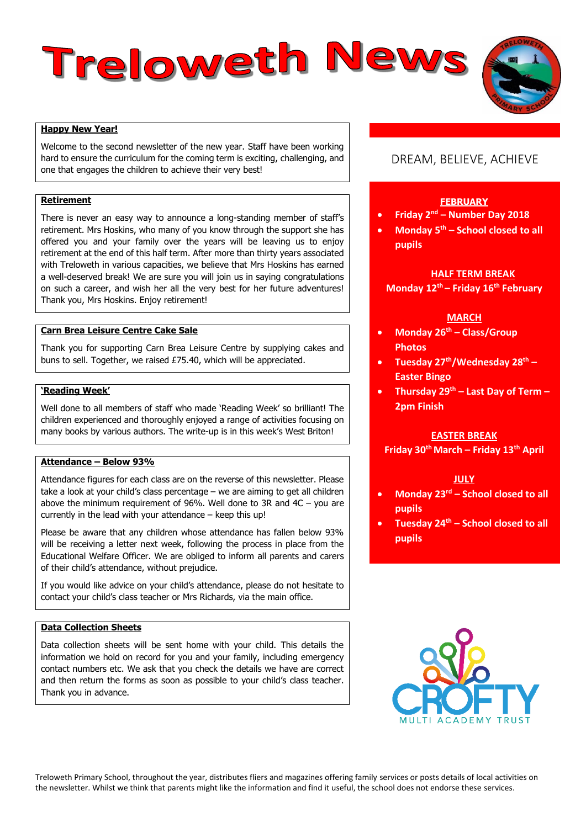# Treloweth News



Welcome to the second newsletter of the new year. Staff have been working hard to ensure the curriculum for the coming term is exciting, challenging, and one that engages the children to achieve their very best!

### **Retirement**

There is never an easy way to announce a long-standing member of staff's retirement. Mrs Hoskins, who many of you know through the support she has offered you and your family over the years will be leaving us to enjoy retirement at the end of this half term. After more than thirty years associated with Treloweth in various capacities, we believe that Mrs Hoskins has earned a well-deserved break! We are sure you will join us in saying congratulations on such a career, and wish her all the very best for her future adventures! Thank you, Mrs Hoskins. Enjoy retirement!

### **Carn Brea Leisure Centre Cake Sale**

Thank you for supporting Carn Brea Leisure Centre by supplying cakes and buns to sell. Together, we raised £75.40, which will be appreciated.

#### **'Reading Week'**

Well done to all members of staff who made 'Reading Week' so brilliant! The children experienced and thoroughly enjoyed a range of activities focusing on many books by various authors. The write-up is in this week's West Briton!

## **Attendance – Below 93%**

Attendance figures for each class are on the reverse of this newsletter. Please take a look at your child's class percentage – we are aiming to get all children above the minimum requirement of 96%. Well done to 3R and 4C – you are currently in the lead with your attendance – keep this up!

Please be aware that any children whose attendance has fallen below 93% will be receiving a letter next week, following the process in place from the Educational Welfare Officer. We are obliged to inform all parents and carers of their child's attendance, without prejudice.

If you would like advice on your child's attendance, please do not hesitate to contact your child's class teacher or Mrs Richards, via the main office.

### **Data Collection Sheets**

Data collection sheets will be sent home with your child. This details the information we hold on record for you and your family, including emergency contact numbers etc. We ask that you check the details we have are correct and then return the forms as soon as possible to your child's class teacher. Thank you in advance.

# DREAM, BELIEVE, ACHIEVE

#### **FEBRUARY**

- **Friday 2nd – Number Day 2018**
- **Monday 5th – School closed to all pupils**

### **HALF TERM BREAK**

**Monday 12th – Friday 16th February**

### **MARCH**

- **Monday 26th – Class/Group Photos**
- **Tuesday 27th/Wednesday 28th – Easter Bingo**
- **Thursday 29th – Last Day of Term – 2pm Finish**

### **EASTER BREAK**

**Friday 30th March – Friday 13th April**

### **JULY**

- **Monday 23rd – School closed to all pupils**
- **Tuesday 24th – School closed to all pupils**